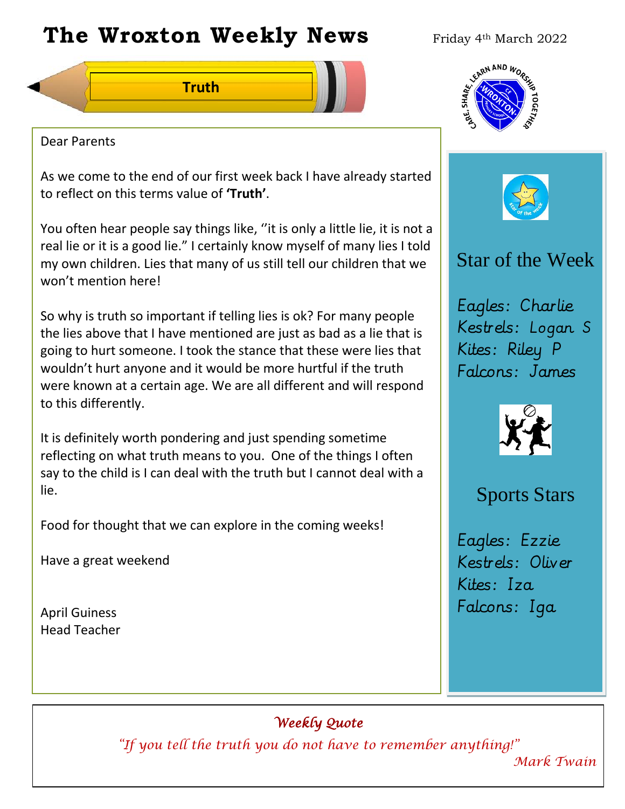# **The Wroxton Weekly News** Friday 4th March 2022

**Truth**



As we come to the end of our first week back I have already started to reflect on this terms value of **'Truth'**.

You often hear people say things like, ''it is only a little lie, it is not a real lie or it is a good lie." I certainly know myself of many lies I told my own children. Lies that many of us still tell our children that we won't mention here!

So why is truth so important if telling lies is ok? For many people the lies above that I have mentioned are just as bad as a lie that is going to hurt someone. I took the stance that these were lies that wouldn't hurt anyone and it would be more hurtful if the truth were known at a certain age. We are all different and will respond to this differently.

It is definitely worth pondering and just spending sometime reflecting on what truth means to you. One of the things I often say to the child is I can deal with the truth but I cannot deal with a lie.

**Fall Festival**

Food for thought that we can explore in the coming weeks!

Have a great weekend

April Guiness Head Teacher

Dear Parents



# Star of the Week

Eagles: Charlie Kestrels: Logan S Kites: Riley P Falcons: James



# Sports Stars

Eagles: Ezzie Kestrels: Oliver Kites: Iza Falcons: Iga

**New Year**

## *Weekly Quote*

**Teacher Day**

*"If you tell the truth you do not have to remember anything!"* 

**PTA** 

*Mark Twain*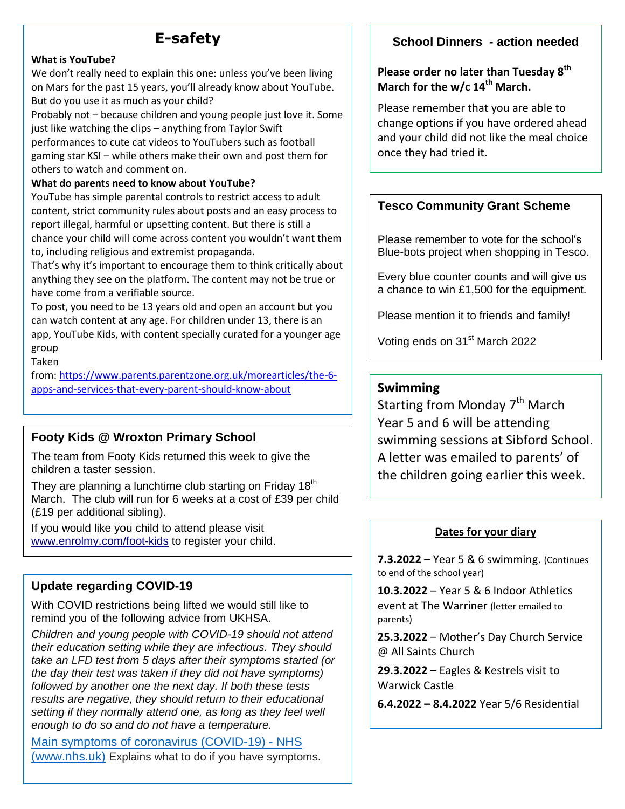### **E-safety**

#### **What is YouTube?**

 on Mars for the past 15 years, you'll already know about YouTube. We don't really need to explain this one: unless you've been living But do you use it as much as your child?

Probably not – because children and young people just love it. Some just like watching the clips – anything from Taylor Swift performances to cute cat videos to YouTubers such as football gaming star KSI – while others make their own and post them for others to watch and comment on.

#### **What do parents need to know about YouTube?**

YouTube has simple parental controls to restrict access to adult content, strict community rules about posts and an easy process to report illegal, harmful or upsetting content. But there is still a chance your child will come across content you wouldn't want them to, including religious and extremist propaganda.

That's why it's important to encourage them to think critically about anything they see on the platform. The content may not be true or have come from a verifiable source.

To post, you need to be 13 years old and open an account but you can watch content at any age. For children under 13, there is an app, YouTube Kids, with content specially curated for a younger age group

Taken

from: [https://www.parents.parentzone.org.uk/morearticles/the-6](https://www.parents.parentzone.org.uk/morearticles/the-6-apps-and-services-that-every-parent-should-know-about) [apps-and-services-that-every-parent-should-know-about](https://www.parents.parentzone.org.uk/morearticles/the-6-apps-and-services-that-every-parent-should-know-about)

### **Footy Kids @ Wroxton Primary School**

The team from Footy Kids returned this week to give the children a taster session.

They are planning a lunchtime club starting on Friday  $18<sup>th</sup>$ March. The club will run for 6 weeks at a cost of £39 per child (£19 per additional sibling).

If you would like you child to attend please visit [www.enrolmy.com/foot-kids](http://www.enrolmy.com/foot-kids) to register your child.

#### **Update regarding COVID-19**

With COVID restrictions being lifted we would still like to remind you of the following advice from UKHSA.

*Children and young people with COVID-19 should not attend their education setting while they are infectious. They should take an LFD test from 5 days after their symptoms started (or the day their test was taken if they did not have symptoms) followed by another one the next day. If both these tests results are negative, they should return to their educational setting if they normally attend one, as long as they feel well enough to do so and do not have a temperature.*

Main symptoms of coronavirus (COVID-19) - NHS [\(www.nhs.uk\)](http://www.nhs.uk/) Explains what to do if you have symptoms.

#### **School Dinners - action needed**

#### **Please order no later than Tuesday 8 th March for the w/c 14th March.**

Please remember that you are able to change options if you have ordered ahead and your child did not like the meal choice once they had tried it.

#### **Tesco Community Grant Scheme**

Please remember to vote for the school's Blue-bots project when shopping in Tesco.

Every blue counter counts and will give us a chance to win £1,500 for the equipment.

Please mention it to friends and family!

Voting ends on 31<sup>st</sup> March 2022

#### **Swimming**

Starting from Monday 7<sup>th</sup> March Year 5 and 6 will be attending swimming sessions at Sibford School. A letter was emailed to parents' of the children going earlier this week.

#### **Dates for your diary**

**7.3.2022** – Year 5 & 6 swimming. (Continues to end of the school year)

**10.3.2022** – Year 5 & 6 Indoor Athletics event at The Warriner (letter emailed to parents)

**25.3.2022** – Mother's Day Church Service @ All Saints Church

**29.3.2022** – Eagles & Kestrels visit to Warwick Castle

**6.4.2022 – 8.4.2022** Year 5/6 Residential